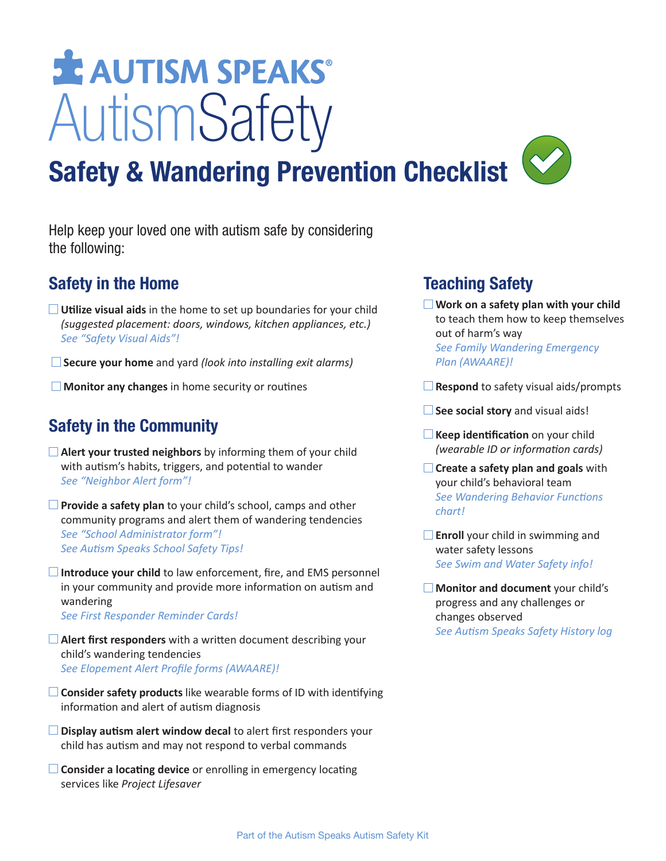# **SE AUTISM SPEAKS®** AutismSafety



Help keep your loved one with autism safe by considering the following:

### **Safety in the Home**

- **Utilize visual aids** in the home to set up boundaries for your child *(suggested placement: doors, windows, kitchen appliances, etc.) See "Safety Visual Aids"!*
- **Secure your home** and yard *(look into installing exit alarms)*
- **Monitor any changes** in home security or routines

# **Safety in the Community**

- **Alert your trusted neighbors** by informing them of your child with autism's habits, triggers, and potential to wander *See "Neighbor Alert form"!*
- **Provide a safety plan** to your child's school, camps and other community programs and alert them of wandering tendencies *See "School Administrator form"! See Autism Speaks School Safety Tips!*
- **□ Introduce your child** to law enforcement, fire, and EMS personnel in your community and provide more information on autism and wandering *See First Responder Reminder Cards!*
- **Alert first responders** with a written document describing your child's wandering tendencies
	- *See Elopement Alert Profile forms (AWAARE)!*
- **□ Consider safety products** like wearable forms of ID with identifying information and alert of autism diagnosis
- **Display autism alert window decal** to alert first responders your child has autism and may not respond to verbal commands
- **□ Consider a locating device** or enrolling in emergency locating services like *Project Lifesaver*

# **Teaching Safety**

- **Work on a safety plan with your child** to teach them how to keep themselves out of harm's way  *See Family Wandering Emergency Plan (AWAARE)!*
- **Respond** to safety visual aids/prompts
- **See social story** and visual aids!
- **Keep identification** on your child *(wearable ID or information cards)*
- **Create a safety plan and goals** with your child's behavioral team  *See Wandering Behavior Functions chart!*
- **Enroll** your child in swimming and water safety lessons  *See Swim and Water Safety info!*

 **Monitor and document** your child's progress and any challenges or changes observed  *See Autism Speaks Safety History log*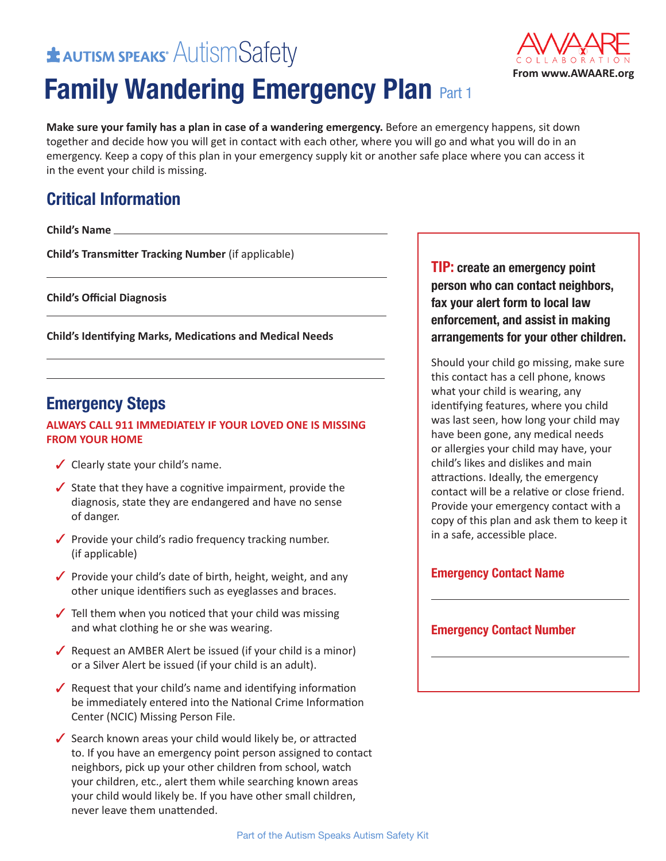# $\pm$  Autism speaks  $\overline{\text{Aut}}$  SMS afety

# **Family Wandering Emergency Plan Part 1**



**Make sure your family has a plan in case of a wandering emergency.** Before an emergency happens, sit down together and decide how you will get in contact with each other, where you will go and what you will do in an emergency. Keep a copy of this plan in your emergency supply kit or another safe place where you can access it in the event your child is missing.

# **Critical Information**

**Child's Name**

**Child's Transmitter Tracking Number** (if applicable)

**Child's Official Diagnosis**

**Child's Identifying Marks, Medications and Medical Needs**

### **Emergency Steps**

### **ALWAYS CALL 911 IMMEDIATELY IF YOUR LOVED ONE IS MISSING FROM YOUR HOME**

- $\checkmark$  Clearly state your child's name.
- $\checkmark$  State that they have a cognitive impairment, provide the diagnosis, state they are endangered and have no sense of danger.
- $\sqrt{\ }$  Provide your child's radio frequency tracking number. (if applicable)
- $\sqrt{\ }$  Provide your child's date of birth, height, weight, and any other unique identifiers such as eyeglasses and braces.
- $\sqrt{\phantom{a}}$  Tell them when you noticed that your child was missing and what clothing he or she was wearing.
- $\sqrt{\phantom{a}}$  Request an AMBER Alert be issued (if your child is a minor) or a Silver Alert be issued (if your child is an adult).
- Request that your child's name and identifying information be immediately entered into the National Crime Information Center (NCIC) Missing Person File.
- $\checkmark$  Search known areas your child would likely be, or attracted to. If you have an emergency point person assigned to contact neighbors, pick up your other children from school, watch your children, etc., alert them while searching known areas your child would likely be. If you have other small children, never leave them unattended.

**TIP: create an emergency point person who can contact neighbors, fax your alert form to local law enforcement, and assist in making arrangements for your other children.**

Should your child go missing, make sure this contact has a cell phone, knows what your child is wearing, any identifying features, where you child was last seen, how long your child may have been gone, any medical needs or allergies your child may have, your child's likes and dislikes and main attractions. Ideally, the emergency contact will be a relative or close friend. Provide your emergency contact with a copy of this plan and ask them to keep it in a safe, accessible place.

### **Emergency Contact Name**

### **Emergency Contact Number**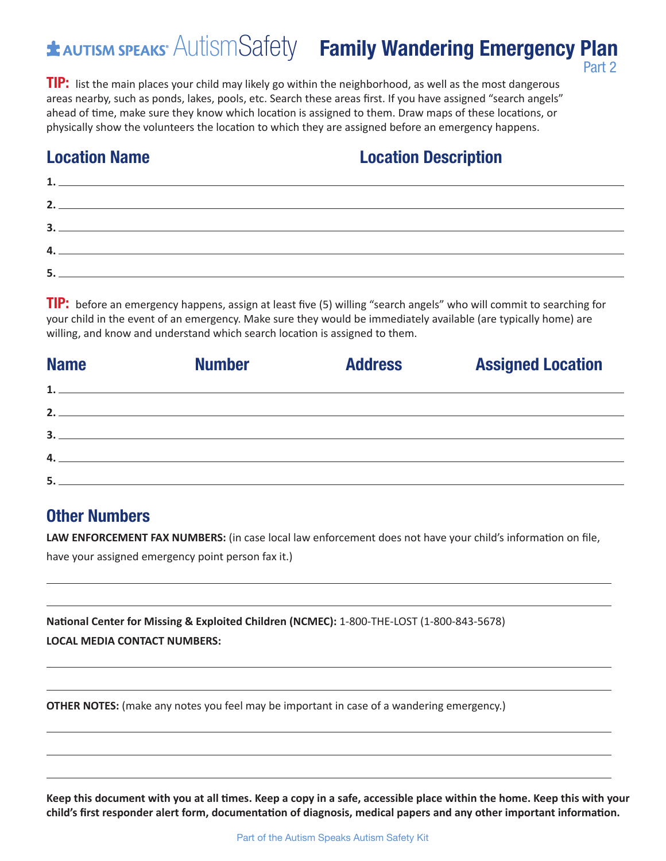### **EXAUTISM SPEAKS**<sup>M</sup> AUTISM Safety **Family Wandering Emergency Plan** Part 2

**TIP:** list the main places your child may likely go within the neighborhood, as well as the most dangerous areas nearby, such as ponds, lakes, pools, etc. Search these areas first. If you have assigned "search angels" ahead of time, make sure they know which location is assigned to them. Draw maps of these locations, or physically show the volunteers the location to which they are assigned before an emergency happens.

# **Location Name Location Description**

| 2. $\qquad \qquad$ |  |  |
|--------------------|--|--|
|                    |  |  |
|                    |  |  |
|                    |  |  |
| 4. __              |  |  |
|                    |  |  |
| 5.                 |  |  |
|                    |  |  |

**TIP:** before an emergency happens, assign at least five (5) willing "search angels" who will commit to searching for your child in the event of an emergency. Make sure they would be immediately available (are typically home) are willing, and know and understand which search location is assigned to them.

| <b>Name</b> | <b>Number</b>                | <b>Address</b> | <b>Assigned Location</b> |
|-------------|------------------------------|----------------|--------------------------|
|             | $\mathbf{1.}$ $\blacksquare$ |                |                          |
|             | $\overline{2}$ .             |                |                          |
|             | 3.                           |                |                          |
|             | $\overline{4}$ .             |                |                          |
| 5.          |                              |                |                          |

### **Other Numbers**

**LAW ENFORCEMENT FAX NUMBERS:** (in case local law enforcement does not have your child's information on file, have your assigned emergency point person fax it.)

**National Center for Missing & Exploited Children (NCMEC):** 1-800-THE-LOST (1-800-843-5678) **LOCAL MEDIA CONTACT NUMBERS:**

**OTHER NOTES:** (make any notes you feel may be important in case of a wandering emergency.)

Keep this document with you at all times. Keep a copy in a safe, accessible place within the home. Keep this with your **child's first responder alert form, documentation of diagnosis, medical papers and any other important information.**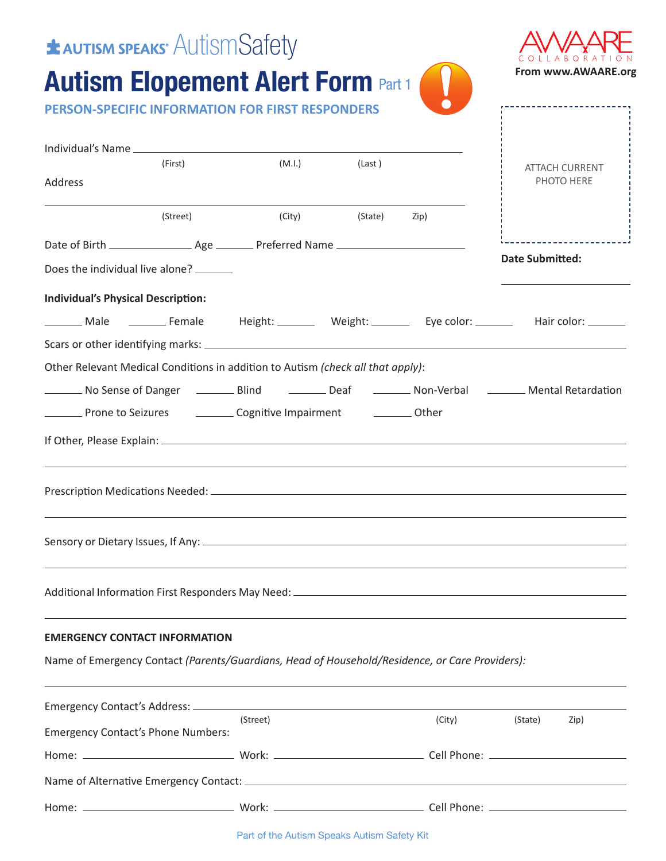| <b>* AUTISM SPEAKS</b> AUTISM Safety                                                               |          |                                                                 |                     |        |                                                                                                                           |
|----------------------------------------------------------------------------------------------------|----------|-----------------------------------------------------------------|---------------------|--------|---------------------------------------------------------------------------------------------------------------------------|
| <b>Autism Elopement Alert Form Part 1</b>                                                          |          |                                                                 |                     |        | From www.AWAARE.org                                                                                                       |
| <b>PERSON-SPECIFIC INFORMATION FOR FIRST RESPONDERS</b>                                            |          |                                                                 |                     |        |                                                                                                                           |
|                                                                                                    |          |                                                                 |                     |        |                                                                                                                           |
| Address                                                                                            | (First)  |                                                                 | (M.l.)<br>(Last)    |        | <b>ATTACH CURRENT</b><br>PHOTO HERE                                                                                       |
|                                                                                                    | (Street) |                                                                 | (City) (State) Zip) |        |                                                                                                                           |
|                                                                                                    |          |                                                                 |                     |        |                                                                                                                           |
| Does the individual live alone? _______                                                            |          |                                                                 |                     |        | <b>Date Submitted:</b>                                                                                                    |
| <b>Individual's Physical Description:</b>                                                          |          |                                                                 |                     |        |                                                                                                                           |
|                                                                                                    |          |                                                                 |                     |        | _________ Male ___________ Female    Height: __________ Weight: _____________ Eye color: ___________ Hair color: ________ |
|                                                                                                    |          |                                                                 |                     |        |                                                                                                                           |
| Other Relevant Medical Conditions in addition to Autism (check all that apply):                    |          |                                                                 |                     |        |                                                                                                                           |
|                                                                                                    |          |                                                                 |                     |        | No Sense of Danger (Blind (Cambridge Leaf (Deaf Non-Verbal (Dental Retardation                                            |
| <b>EXECUTE:</b> Prone to Seizures <b>CONSISTENT</b> Cognitive Impairment <b>CONSISTENT</b> COMBINE |          |                                                                 |                     |        |                                                                                                                           |
|                                                                                                    |          |                                                                 |                     |        |                                                                                                                           |
|                                                                                                    |          |                                                                 |                     |        |                                                                                                                           |
|                                                                                                    |          |                                                                 |                     |        |                                                                                                                           |
|                                                                                                    |          |                                                                 |                     |        |                                                                                                                           |
| <b>EMERGENCY CONTACT INFORMATION</b>                                                               |          |                                                                 |                     |        |                                                                                                                           |
| Name of Emergency Contact (Parents/Guardians, Head of Household/Residence, or Care Providers):     |          |                                                                 |                     |        |                                                                                                                           |
|                                                                                                    |          |                                                                 |                     |        |                                                                                                                           |
| <b>Emergency Contact's Phone Numbers:</b>                                                          |          | (Street)                                                        |                     | (City) | (State)<br>Zip)                                                                                                           |
|                                                                                                    |          |                                                                 |                     |        |                                                                                                                           |
|                                                                                                    |          |                                                                 |                     |        |                                                                                                                           |
|                                                                                                    |          |                                                                 |                     |        |                                                                                                                           |
|                                                                                                    |          | $D$ and $\alpha$ fitting Audience Operator Audience Option 16th |                     |        |                                                                                                                           |

Part of the Autism Speaks Autism Safety Kit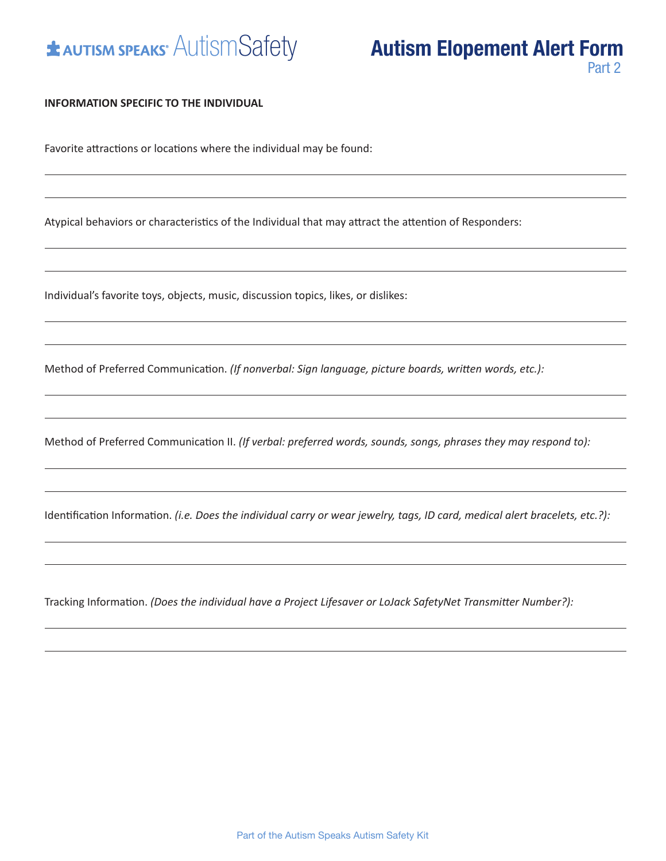

#### **INFORMATION SPECIFIC TO THE INDIVIDUAL**

Favorite attractions or locations where the individual may be found:

Atypical behaviors or characteristics of the Individual that may attract the attention of Responders:

Individual's favorite toys, objects, music, discussion topics, likes, or dislikes:

Method of Preferred Communication. *(If nonverbal: Sign language, picture boards, written words, etc.):*

Method of Preferred Communication II. *(If verbal: preferred words, sounds, songs, phrases they may respond to):*

Identification Information. *(i.e. Does the individual carry or wear jewelry, tags, ID card, medical alert bracelets, etc.?):*

Tracking Information. *(Does the individual have a Project Lifesaver or LoJack SafetyNet Transmitter Number?):*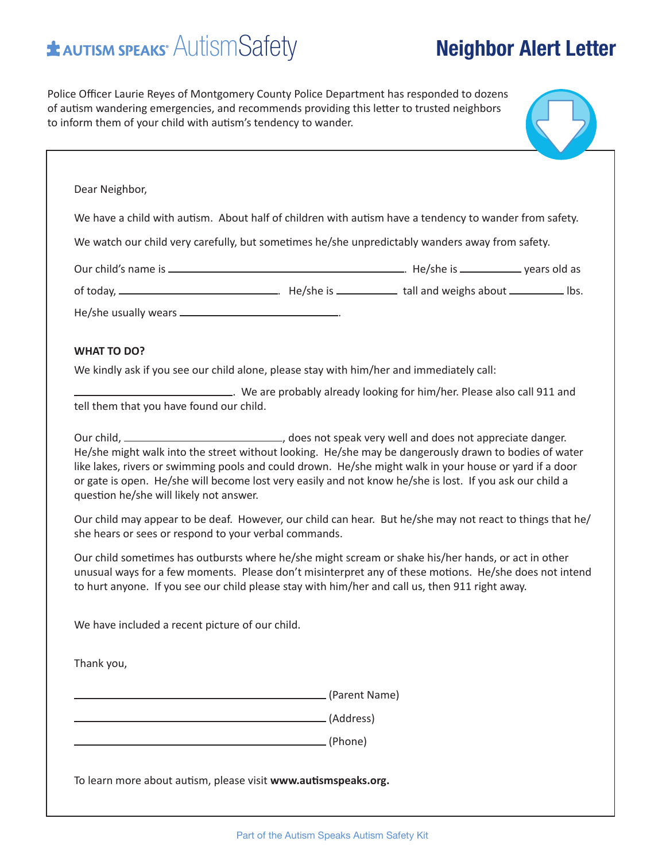# $\triangle$  AutismSafety **Neighbor Alert Letter**

Police Officer Laurie Reyes of Montgomery County Police Department has responded to dozens of autism wandering emergencies, and recommends providing this letter to trusted neighbors to inform them of your child with autism's tendency to wander.

| We have a child with autism. About half of children with autism have a tendency to wander from safety.                                                                                                                                                                                                                                                                                                                                                                              |               |  |
|-------------------------------------------------------------------------------------------------------------------------------------------------------------------------------------------------------------------------------------------------------------------------------------------------------------------------------------------------------------------------------------------------------------------------------------------------------------------------------------|---------------|--|
| We watch our child very carefully, but sometimes he/she unpredictably wanders away from safety.                                                                                                                                                                                                                                                                                                                                                                                     |               |  |
|                                                                                                                                                                                                                                                                                                                                                                                                                                                                                     |               |  |
|                                                                                                                                                                                                                                                                                                                                                                                                                                                                                     |               |  |
| He/she usually wears __________________________________.                                                                                                                                                                                                                                                                                                                                                                                                                            |               |  |
| <b>WHAT TO DO?</b>                                                                                                                                                                                                                                                                                                                                                                                                                                                                  |               |  |
| We kindly ask if you see our child alone, please stay with him/her and immediately call:                                                                                                                                                                                                                                                                                                                                                                                            |               |  |
| . We are probably already looking for him/her. Please also call 911 and with the series of the probably already looking for him/her. Please also call 911 and<br>tell them that you have found our child.                                                                                                                                                                                                                                                                           |               |  |
| Our child, ___________________________________, does not speak very well and does not appreciate danger.<br>He/she might walk into the street without looking. He/she may be dangerously drawn to bodies of water<br>like lakes, rivers or swimming pools and could drown. He/she might walk in your house or yard if a door<br>or gate is open. He/she will become lost very easily and not know he/she is lost. If you ask our child a<br>question he/she will likely not answer. |               |  |
| Our child may appear to be deaf. However, our child can hear. But he/she may not react to things that he/<br>she hears or sees or respond to your verbal commands.                                                                                                                                                                                                                                                                                                                  |               |  |
| Our child sometimes has outbursts where he/she might scream or shake his/her hands, or act in other<br>unusual ways for a few moments. Please don't misinterpret any of these motions. He/she does not intend<br>to hurt anyone. If you see our child please stay with him/her and call us, then 911 right away.                                                                                                                                                                    |               |  |
| We have included a recent picture of our child.                                                                                                                                                                                                                                                                                                                                                                                                                                     |               |  |
|                                                                                                                                                                                                                                                                                                                                                                                                                                                                                     |               |  |
| Thank you,                                                                                                                                                                                                                                                                                                                                                                                                                                                                          |               |  |
|                                                                                                                                                                                                                                                                                                                                                                                                                                                                                     | (Parent Name) |  |
|                                                                                                                                                                                                                                                                                                                                                                                                                                                                                     | (Address)     |  |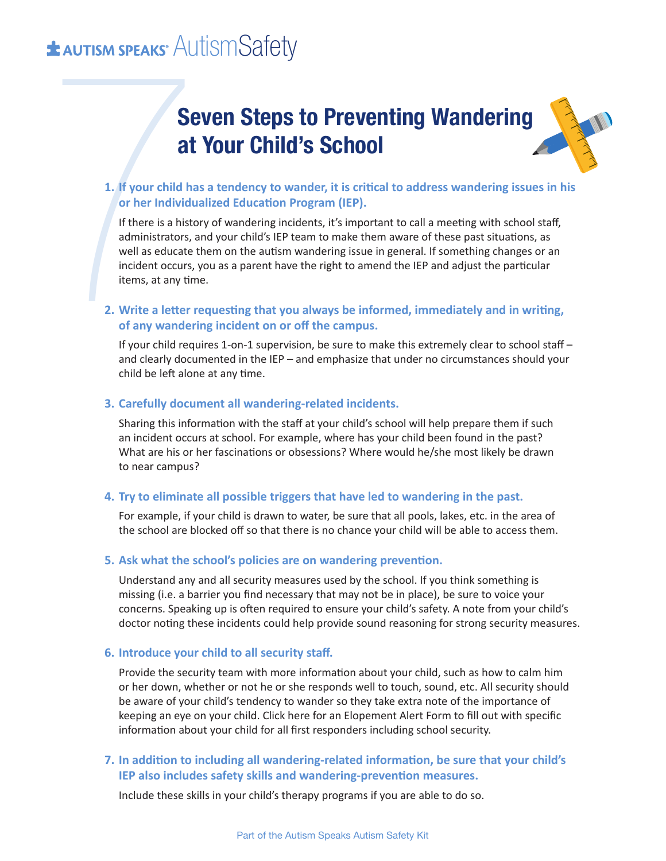# **\* AUTISM SPEAKS** AUTISMSafety

# **Seven Steps to Preventing Wandering at Your Child's School**

### **1. If your child has a tendency to wander, it is critical to address wandering issues in his or her Individualized Education Program (IEP).**

**Set AUTISM SPEAKS<sup>\*</sup>** AUT<br> **Set AUTISM SPEAKS<sup>\*</sup>** AUT<br> **Set AUTISM SPEAKS<sup>\*</sup>** AUT<br>
1. If your child has<br>
or her Individual<br>
If there is a histo<br>
administrators, a<br>
well as educate t<br>
incident occurs, y<br>
items, at any tim If there is a history of wandering incidents, it's important to call a meeting with school staff, administrators, and your child's IEP team to make them aware of these past situations, as well as educate them on the autism wandering issue in general. If something changes or an incident occurs, you as a parent have the right to amend the IEP and adjust the particular items, at any time.

### **2. Write a letter requesting that you always be informed, immediately and in writing, of any wandering incident on or off the campus.**

If your child requires 1-on-1 supervision, be sure to make this extremely clear to school staff – and clearly documented in the IEP – and emphasize that under no circumstances should your child be left alone at any time.

#### **3. Carefully document all wandering-related incidents.**

Sharing this information with the staff at your child's school will help prepare them if such an incident occurs at school. For example, where has your child been found in the past? What are his or her fascinations or obsessions? Where would he/she most likely be drawn to near campus?

#### **4. Try to eliminate all possible triggers that have led to wandering in the past.**

For example, if your child is drawn to water, be sure that all pools, lakes, etc. in the area of the school are blocked off so that there is no chance your child will be able to access them.

#### **5. Ask what the school's policies are on wandering prevention.**

Understand any and all security measures used by the school. If you think something is missing (i.e. a barrier you find necessary that may not be in place), be sure to voice your concerns. Speaking up is often required to ensure your child's safety. A note from your child's doctor noting these incidents could help provide sound reasoning for strong security measures.

#### **6. Introduce your child to all security staff.**

Provide the security team with more information about your child, such as how to calm him or her down, whether or not he or she responds well to touch, sound, etc. All security should be aware of your child's tendency to wander so they take extra note of the importance of keeping an eye on your child. Click here for an Elopement Alert Form to fill out with specific information about your child for all first responders including school security.

#### **7. In addition to including all wandering-related information, be sure that your child's IEP also includes safety skills and wandering-prevention measures.**

Include these skills in your child's therapy programs if you are able to do so.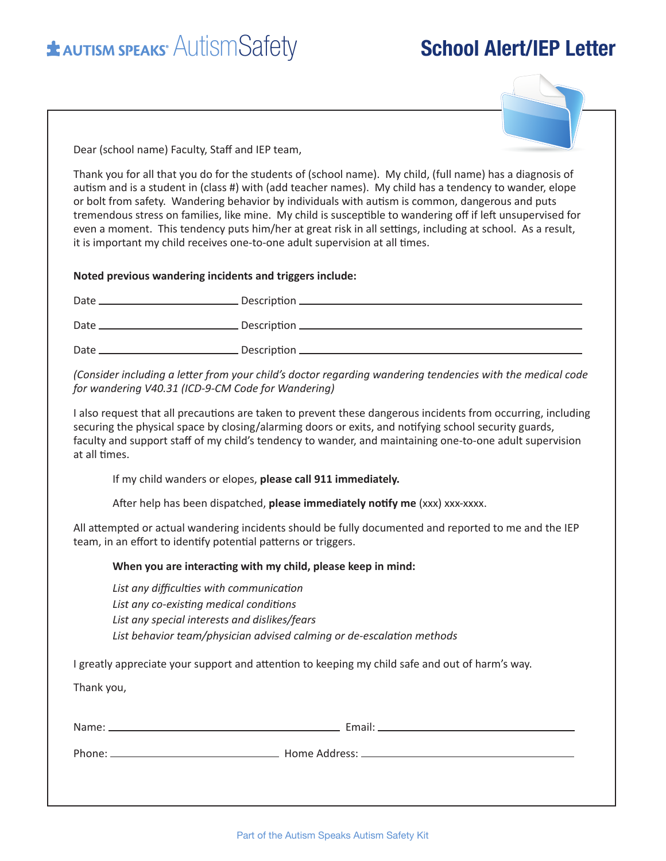# **EXAUTISM SPEAKS**<sup>®</sup> AUTISM Safety **School Alert/IEP Letter**



Dear (school name) Faculty, Staff and IEP team,

Thank you for all that you do for the students of (school name). My child, (full name) has a diagnosis of autism and is a student in (class #) with (add teacher names). My child has a tendency to wander, elope or bolt from safety. Wandering behavior by individuals with autism is common, dangerous and puts tremendous stress on families, like mine. My child is susceptible to wandering off if left unsupervised for even a moment. This tendency puts him/her at great risk in all settings, including at school. As a result, it is important my child receives one-to-one adult supervision at all times.

**Noted previous wandering incidents and triggers include:**

| Date. | Description ____________________ |
|-------|----------------------------------|
| Date  |                                  |
| Date  |                                  |

*(Consider including a letter from your child's doctor regarding wandering tendencies with the medical code for wandering V40.31 (ICD-9-CM Code for Wandering)*

I also request that all precautions are taken to prevent these dangerous incidents from occurring, including securing the physical space by closing/alarming doors or exits, and notifying school security guards, faculty and support staff of my child's tendency to wander, and maintaining one-to-one adult supervision at all times.

If my child wanders or elopes, **please call 911 immediately.**

After help has been dispatched, **please immediately notify me** (xxx) xxx-xxxx.

All attempted or actual wandering incidents should be fully documented and reported to me and the IEP team, in an effort to identify potential patterns or triggers.

#### **When you are interacting with my child, please keep in mind:**

*List any difficulties with communication List any co-existing medical conditions List any special interests and dislikes/fears List behavior team/physician advised calming or de-escalation methods*

I greatly appreciate your support and attention to keeping my child safe and out of harm's way.

Thank you,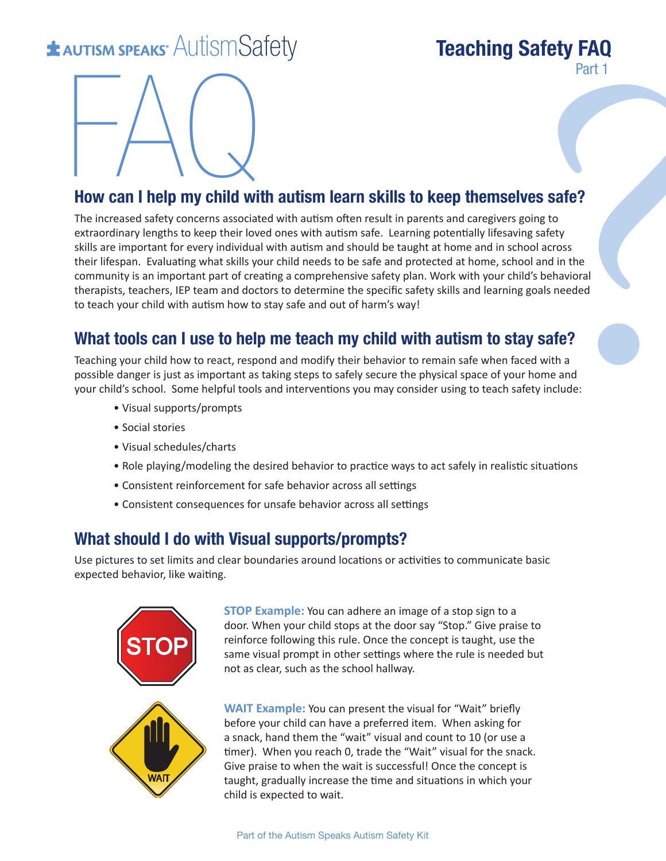# **EXECUTED AUTISM SPEAKS**<sup>\*</sup> AutismSafety **Teaching Safety FAQ**

# Part 1



### **How can I help my child with autism learn skills to keep themselves safe?**

**EVALUATION SET AND SET AND SET AND SET AND SET AND SET AND SET AND SET AND SET AND SET AND SET AND SET AND SET AND SET AND SET AND SET AND SET AND SET AND SET AND SET AND SET AND SET AND SET AND SET AND SET AND SET AND SE** The increased safety concerns associated with autism often result in parents and caregivers going to extraordinary lengths to keep their loved ones with autism safe. Learning potentially lifesaving safety skills are important for every individual with autism and should be taught at home and in school across their lifespan. Evaluating what skills your child needs to be safe and protected at home, school and in the community is an important part of creating a comprehensive safety plan. Work with your child's behavioral therapists, teachers, IEP team and doctors to determine the specific safety skills and learning goals needed to teach your child with autism how to stay safe and out of harm's way!

### **What tools can I use to help me teach my child with autism to stay safe?**

Teaching your child how to react, respond and modify their behavior to remain safe when faced with a possible danger is just as important as taking steps to safely secure the physical space of your home and your child's school. Some helpful tools and interventions you may consider using to teach safety include:

- Visual supports/prompts
- Social stories
- Visual schedules/charts
- Role playing/modeling the desired behavior to practice ways to act safely in realistic situations
- Consistent reinforcement for safe behavior across all settings
- Consistent consequences for unsafe behavior across all settings

### **What should I do with Visual supports/prompts?**

Use pictures to set limits and clear boundaries around locations or activities to communicate basic expected behavior, like waiting.



**STOP Example:** You can adhere an image of a stop sign to a door. When your child stops at the door say "Stop." Give praise to reinforce following this rule. Once the concept is taught, use the same visual prompt in other settings where the rule is needed but not as clear, such as the school hallway.

**WAIT Example:** You can present the visual for "Wait" briefly before your child can have a preferred item. When asking for a snack, hand them the "wait" visual and count to 10 (or use a timer). When you reach 0, trade the "Wait" visual for the snack. Give praise to when the wait is successful! Once the concept is taught, gradually increase the time and situations in which your child is expected to wait.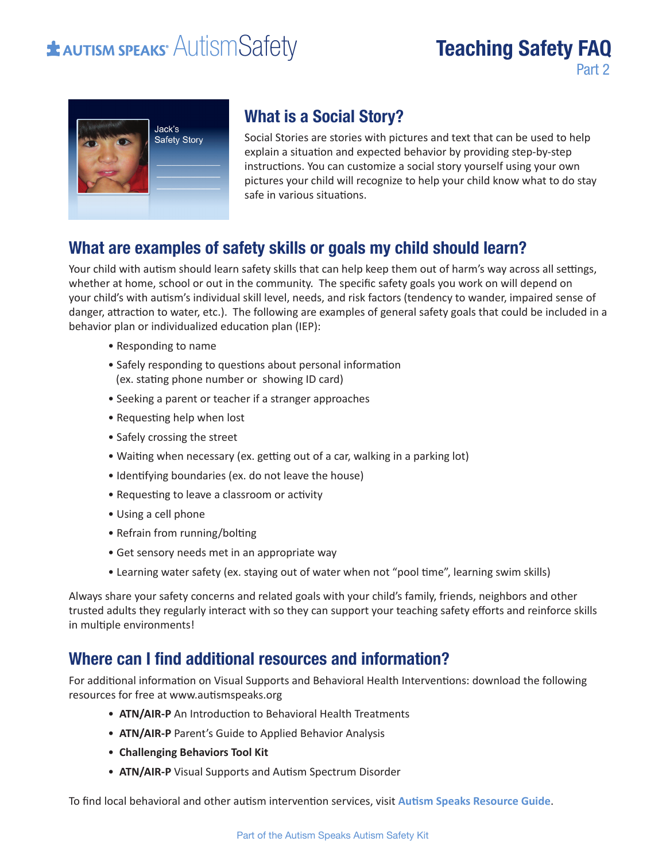# **\*** AUTISM SPEAKS<sup>®</sup> AUTISMSafety

# **Teaching Safety FAQ** Part 2



## **What is a Social Story?**

Social Stories are stories with pictures and text that can be used to help explain a situation and expected behavior by providing step-by-step instructions. You can customize a social story yourself using your own pictures your child will recognize to help your child know what to do stay safe in various situations.

### **What are examples of safety skills or goals my child should learn?**

Your child with autism should learn safety skills that can help keep them out of harm's way across all settings, whether at home, school or out in the community. The specific safety goals you work on will depend on your child's with autism's individual skill level, needs, and risk factors (tendency to wander, impaired sense of danger, attraction to water, etc.). The following are examples of general safety goals that could be included in a behavior plan or individualized education plan (IEP):

- Responding to name
- Safely responding to questions about personal information (ex. stating phone number or showing ID card)
- Seeking a parent or teacher if a stranger approaches
- Requesting help when lost
- Safely crossing the street
- Waiting when necessary (ex. getting out of a car, walking in a parking lot)
- Identifying boundaries (ex. do not leave the house)
- Requesting to leave a classroom or activity
- Using a cell phone
- Refrain from running/bolting
- Get sensory needs met in an appropriate way
- Learning water safety (ex. staying out of water when not "pool time", learning swim skills)

Always share your safety concerns and related goals with your child's family, friends, neighbors and other trusted adults they regularly interact with so they can support your teaching safety efforts and reinforce skills in multiple environments!

### **Where can I find additional resources and information?**

For additional information on Visual Supports and Behavioral Health Interventions: download the following resources for free at www.autismspeaks.org

- **ATN/AIR-P** An Introduction to Behavioral Health Treatments
- **ATN/AIR-P** Parent's Guide to Applied Behavior Analysis
- **Challenging Behaviors Tool Kit**
- **ATN/AIR-P** Visual Supports and Autism Spectrum Disorder

To find local behavioral and other autism intervention services, visit **Autism Speaks Resource Guide**.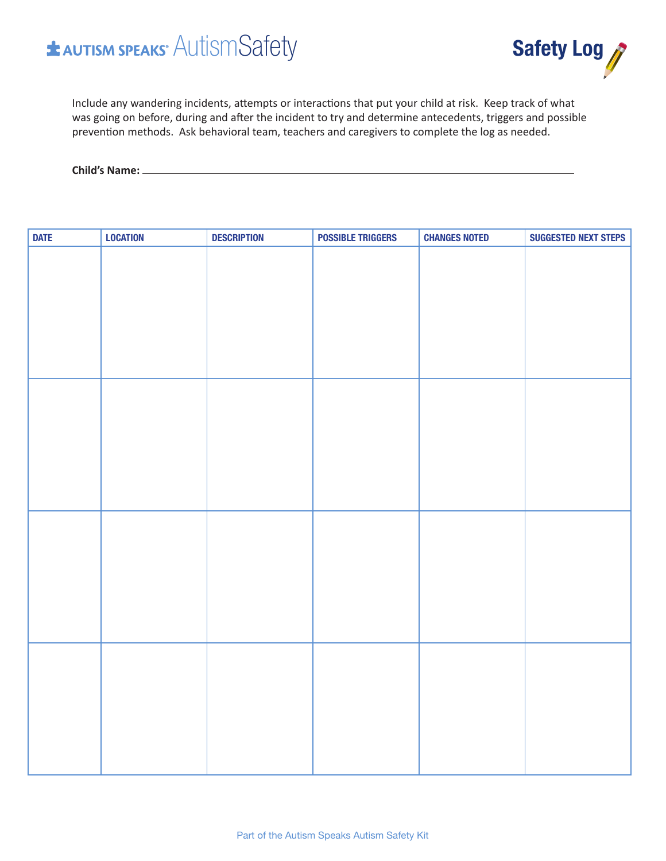# **\* AUTISM SPEAKS** AUTISMSafety



Include any wandering incidents, attempts or interactions that put your child at risk. Keep track of what was going on before, during and after the incident to try and determine antecedents, triggers and possible prevention methods. Ask behavioral team, teachers and caregivers to complete the log as needed.

**Child's Name:**

| <b>DATE</b> | <b>LOCATION</b> | <b>DESCRIPTION</b> | <b>POSSIBLE TRIGGERS</b> | <b>CHANGES NOTED</b> | <b>SUGGESTED NEXT STEPS</b> |
|-------------|-----------------|--------------------|--------------------------|----------------------|-----------------------------|
|             |                 |                    |                          |                      |                             |
|             |                 |                    |                          |                      |                             |
|             |                 |                    |                          |                      |                             |
|             |                 |                    |                          |                      |                             |
|             |                 |                    |                          |                      |                             |
|             |                 |                    |                          |                      |                             |
|             |                 |                    |                          |                      |                             |
|             |                 |                    |                          |                      |                             |
|             |                 |                    |                          |                      |                             |
|             |                 |                    |                          |                      |                             |
|             |                 |                    |                          |                      |                             |
|             |                 |                    |                          |                      |                             |
|             |                 |                    |                          |                      |                             |
|             |                 |                    |                          |                      |                             |
|             |                 |                    |                          |                      |                             |
|             |                 |                    |                          |                      |                             |
|             |                 |                    |                          |                      |                             |
|             |                 |                    |                          |                      |                             |
|             |                 |                    |                          |                      |                             |
|             |                 |                    |                          |                      |                             |
|             |                 |                    |                          |                      |                             |
|             |                 |                    |                          |                      |                             |
|             |                 |                    |                          |                      |                             |
|             |                 |                    |                          |                      |                             |
|             |                 |                    |                          |                      |                             |
|             |                 |                    |                          |                      |                             |
|             |                 |                    |                          |                      |                             |
|             |                 |                    |                          |                      |                             |
|             |                 |                    |                          |                      |                             |